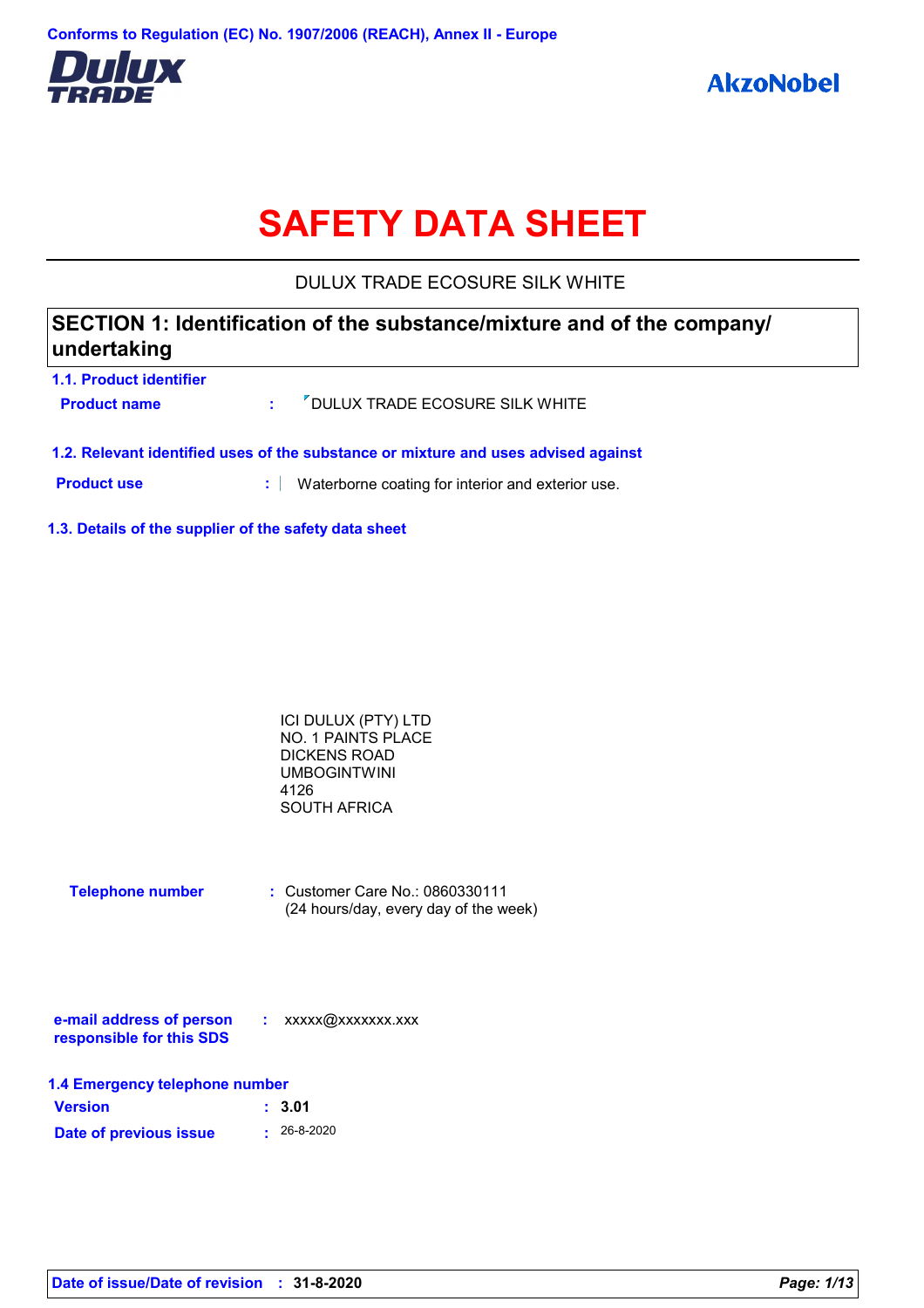

# **SAFETY DATA SHEET**

DULUX TRADE ECOSURE SILK WHITE

### **1.1. Product identifier SECTION 1: Identification of the substance/mixture and of the company/ undertaking**

| <b>Product name</b> | : <sup>7</sup> DULUX TRADE ECOSURE SILK WHITE |
|---------------------|-----------------------------------------------|
|                     |                                               |

**1.2. Relevant identified uses of the substance or mixture and uses advised against**

**Product use <b>:** Waterborne coating for interior and exterior use.

**1.3. Details of the supplier of the safety data sheet**

| ICI DULUX (PTY) LTD       |  |
|---------------------------|--|
| <b>NO. 1 PAINTS PLACE</b> |  |
| DICKENS ROAD              |  |
| UMBOGINTWINI              |  |
| 4126                      |  |
| SOUTH AFRICA              |  |
|                           |  |

| <b>Telephone number</b> | $\therefore$ Customer Care No.: 0860330111 |
|-------------------------|--------------------------------------------|
|                         | (24 hours/day, every day of the week)      |

| e-mail address of person | xxxxx@xxxxxxx.xxx |
|--------------------------|-------------------|
| responsible for this SDS |                   |

| 1.4 Emergency telephone number |                   |  |  |
|--------------------------------|-------------------|--|--|
| <b>Version</b>                 | : 3.01            |  |  |
| Date of previous issue         | $\cdot$ 26-8-2020 |  |  |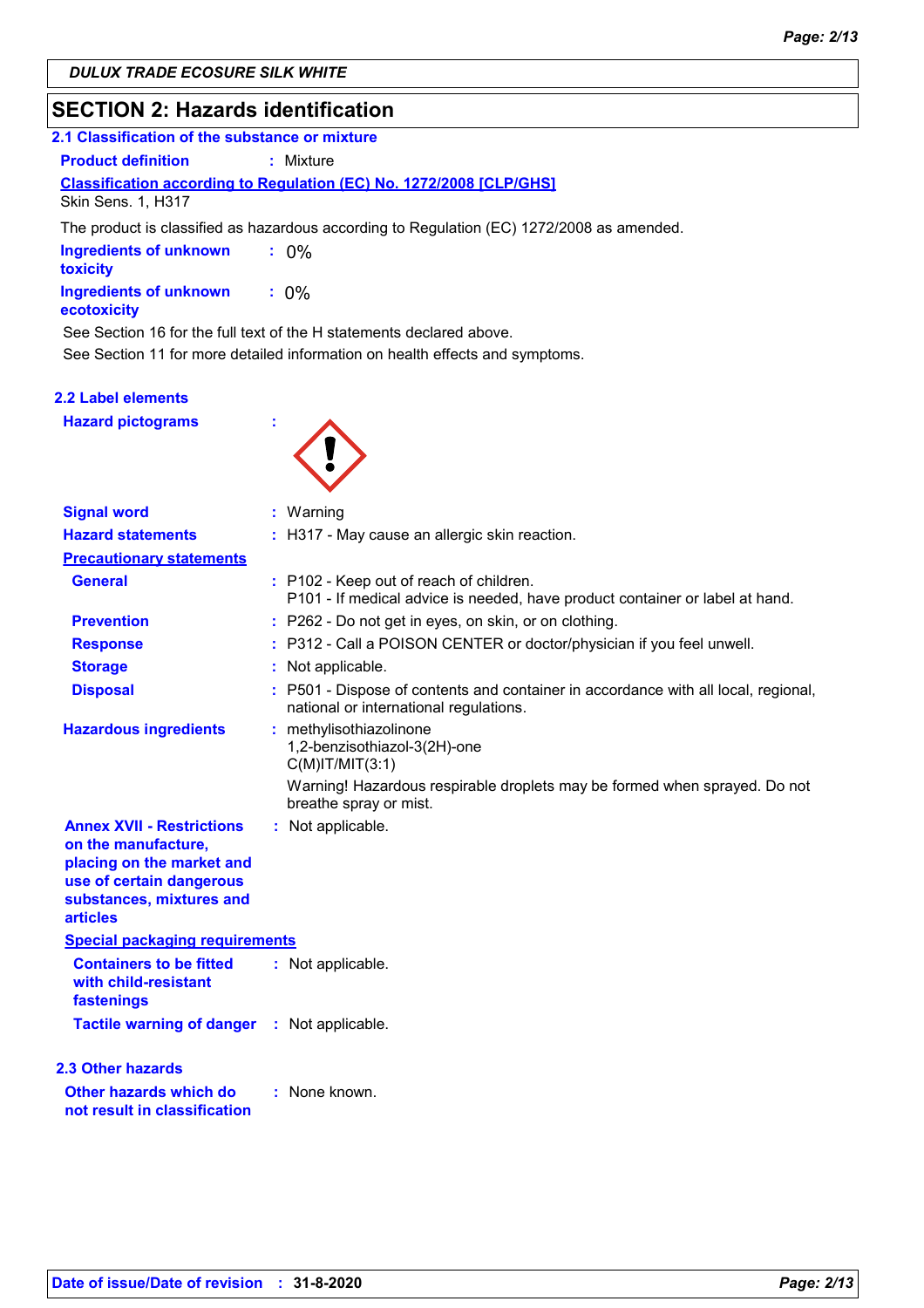### **SECTION 2: Hazards identification**

| 2.1 Classification of the substance or mixture                                                   |                                                                                           |  |  |
|--------------------------------------------------------------------------------------------------|-------------------------------------------------------------------------------------------|--|--|
| <b>Product definition</b>                                                                        | : Mixture                                                                                 |  |  |
| <b>Classification according to Regulation (EC) No. 1272/2008 [CLP/GHS]</b><br>Skin Sens. 1, H317 |                                                                                           |  |  |
|                                                                                                  | The product is classified as hazardous according to Regulation (EC) 1272/2008 as amended. |  |  |
| <b>Ingredients of unknown</b><br>toxicity                                                        | $\therefore$ 0%                                                                           |  |  |
| <b>Ingredients of unknown</b><br>ecotoxicity                                                     | $: 0\%$                                                                                   |  |  |
|                                                                                                  | See Section 16 for the full text of the H statements declared above.                      |  |  |
|                                                                                                  | See Section 11 for more detailed information on health effects and symptoms.              |  |  |

### **2.2 Label elements**

**Hazard pictograms :**



| <b>Signal word</b>                                                                                                                                              |    | $:$ Warning                                                                                                                                                 |
|-----------------------------------------------------------------------------------------------------------------------------------------------------------------|----|-------------------------------------------------------------------------------------------------------------------------------------------------------------|
| <b>Hazard statements</b>                                                                                                                                        |    | : H317 - May cause an allergic skin reaction.                                                                                                               |
| <b>Precautionary statements</b>                                                                                                                                 |    |                                                                                                                                                             |
| <b>General</b>                                                                                                                                                  |    | : P102 - Keep out of reach of children.<br>P101 - If medical advice is needed, have product container or label at hand.                                     |
| <b>Prevention</b>                                                                                                                                               |    | : P262 - Do not get in eyes, on skin, or on clothing.                                                                                                       |
| <b>Response</b>                                                                                                                                                 |    | : P312 - Call a POISON CENTER or doctor/physician if you feel unwell.                                                                                       |
| <b>Storage</b>                                                                                                                                                  |    | Not applicable.                                                                                                                                             |
| <b>Disposal</b>                                                                                                                                                 |    | : P501 - Dispose of contents and container in accordance with all local, regional,<br>national or international regulations.                                |
| <b>Hazardous ingredients</b>                                                                                                                                    | ÷. | methylisothiazolinone<br>1,2-benzisothiazol-3(2H)-one<br>$C(M)$ IT/MIT $(3:1)$<br>Warning! Hazardous respirable droplets may be formed when sprayed. Do not |
|                                                                                                                                                                 |    | breathe spray or mist.                                                                                                                                      |
| <b>Annex XVII - Restrictions</b><br>on the manufacture,<br>placing on the market and<br>use of certain dangerous<br>substances, mixtures and<br><b>articles</b> |    | : Not applicable.                                                                                                                                           |
| <b>Special packaging requirements</b>                                                                                                                           |    |                                                                                                                                                             |
| <b>Containers to be fitted</b><br>with child-resistant<br>fastenings                                                                                            |    | : Not applicable.                                                                                                                                           |
| Tactile warning of danger : Not applicable.                                                                                                                     |    |                                                                                                                                                             |
| <b>2.3 Other hazards</b>                                                                                                                                        |    |                                                                                                                                                             |
| Other hazards which do<br>not result in classification                                                                                                          |    | : None known.                                                                                                                                               |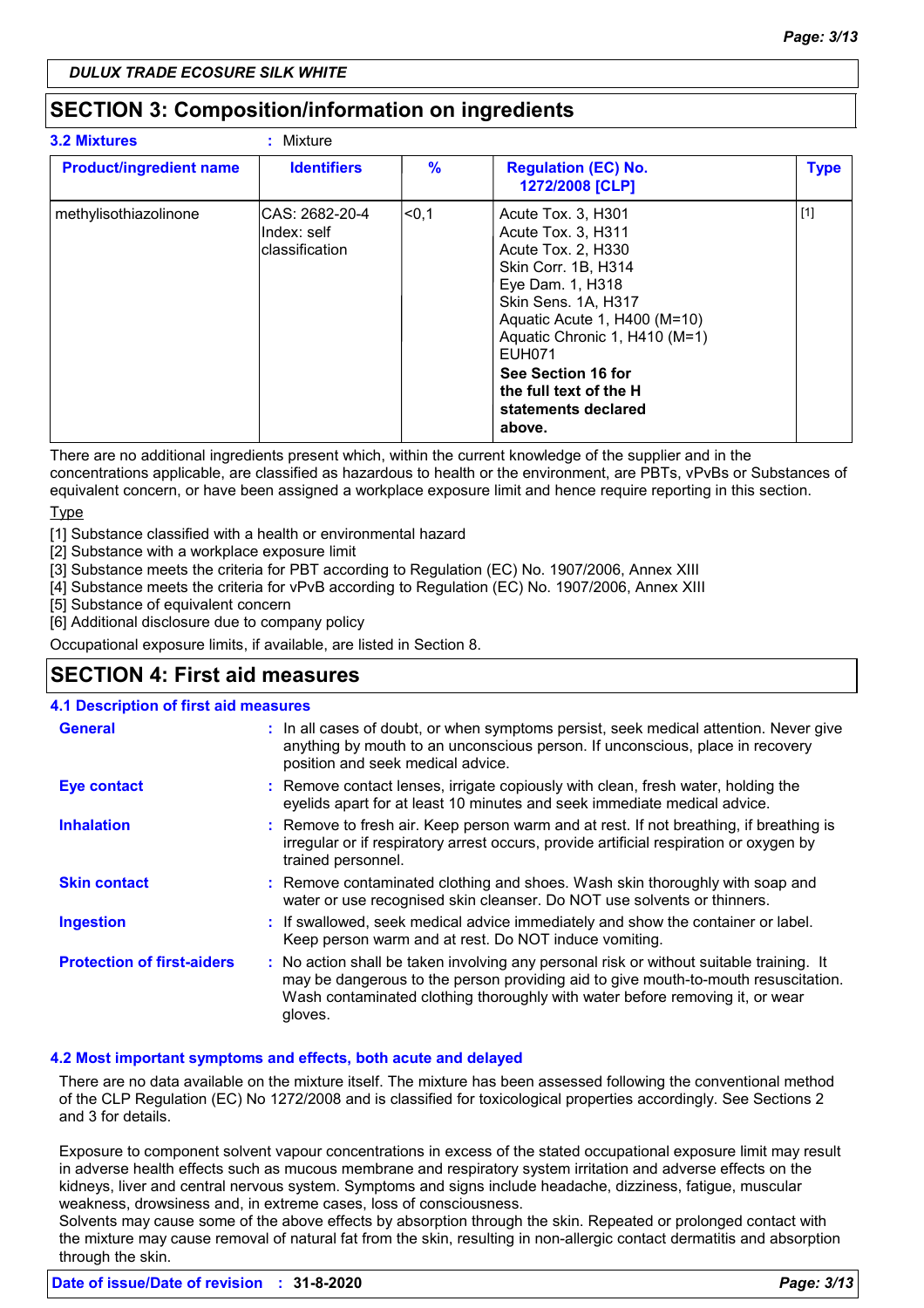### **SECTION 3: Composition/information on ingredients**

| <b>3.2 Mixtures</b>            | : Mixture                                         |       |                                                                                                                                                                                                                                                                                                     |             |
|--------------------------------|---------------------------------------------------|-------|-----------------------------------------------------------------------------------------------------------------------------------------------------------------------------------------------------------------------------------------------------------------------------------------------------|-------------|
| <b>Product/ingredient name</b> | <b>Identifiers</b>                                | $\%$  | <b>Regulation (EC) No.</b><br>1272/2008 [CLP]                                                                                                                                                                                                                                                       | <b>Type</b> |
| methylisothiazolinone          | ICAS: 2682-20-4<br>Index: self<br>lclassification | ∣<0,1 | Acute Tox. 3, H301<br>Acute Tox. 3, H311<br>Acute Tox. 2, H330<br>Skin Corr. 1B, H314<br>Eye Dam. 1, H318<br>Skin Sens. 1A, H317<br>Aquatic Acute 1, H400 (M=10)<br>Aquatic Chronic 1, H410 (M=1)<br><b>EUH071</b><br>See Section 16 for<br>the full text of the H<br>statements declared<br>above. | $[1]$       |

There are no additional ingredients present which, within the current knowledge of the supplier and in the concentrations applicable, are classified as hazardous to health or the environment, are PBTs, vPvBs or Substances of

equivalent concern, or have been assigned a workplace exposure limit and hence require reporting in this section. Type

[1] Substance classified with a health or environmental hazard

[2] Substance with a workplace exposure limit

[3] Substance meets the criteria for PBT according to Regulation (EC) No. 1907/2006, Annex XIII

[4] Substance meets the criteria for vPvB according to Regulation (EC) No. 1907/2006, Annex XIII

[5] Substance of equivalent concern

[6] Additional disclosure due to company policy

Occupational exposure limits, if available, are listed in Section 8.

### **SECTION 4: First aid measures**

### **4.1 Description of first aid measures**

| <b>General</b>                    | : In all cases of doubt, or when symptoms persist, seek medical attention. Never give<br>anything by mouth to an unconscious person. If unconscious, place in recovery<br>position and seek medical advice.                                                              |
|-----------------------------------|--------------------------------------------------------------------------------------------------------------------------------------------------------------------------------------------------------------------------------------------------------------------------|
| <b>Eye contact</b>                | : Remove contact lenses, irrigate copiously with clean, fresh water, holding the<br>eyelids apart for at least 10 minutes and seek immediate medical advice.                                                                                                             |
| <b>Inhalation</b>                 | : Remove to fresh air. Keep person warm and at rest. If not breathing, if breathing is<br>irregular or if respiratory arrest occurs, provide artificial respiration or oxygen by<br>trained personnel.                                                                   |
| <b>Skin contact</b>               | : Remove contaminated clothing and shoes. Wash skin thoroughly with soap and<br>water or use recognised skin cleanser. Do NOT use solvents or thinners.                                                                                                                  |
| <b>Ingestion</b>                  | : If swallowed, seek medical advice immediately and show the container or label.<br>Keep person warm and at rest. Do NOT induce vomiting.                                                                                                                                |
| <b>Protection of first-aiders</b> | : No action shall be taken involving any personal risk or without suitable training. It<br>may be dangerous to the person providing aid to give mouth-to-mouth resuscitation.<br>Wash contaminated clothing thoroughly with water before removing it, or wear<br>gloves. |

### **4.2 Most important symptoms and effects, both acute and delayed**

There are no data available on the mixture itself. The mixture has been assessed following the conventional method of the CLP Regulation (EC) No 1272/2008 and is classified for toxicological properties accordingly. See Sections 2 and 3 for details.

Exposure to component solvent vapour concentrations in excess of the stated occupational exposure limit may result in adverse health effects such as mucous membrane and respiratory system irritation and adverse effects on the kidneys, liver and central nervous system. Symptoms and signs include headache, dizziness, fatigue, muscular weakness, drowsiness and, in extreme cases, loss of consciousness.

Solvents may cause some of the above effects by absorption through the skin. Repeated or prolonged contact with the mixture may cause removal of natural fat from the skin, resulting in non-allergic contact dermatitis and absorption through the skin.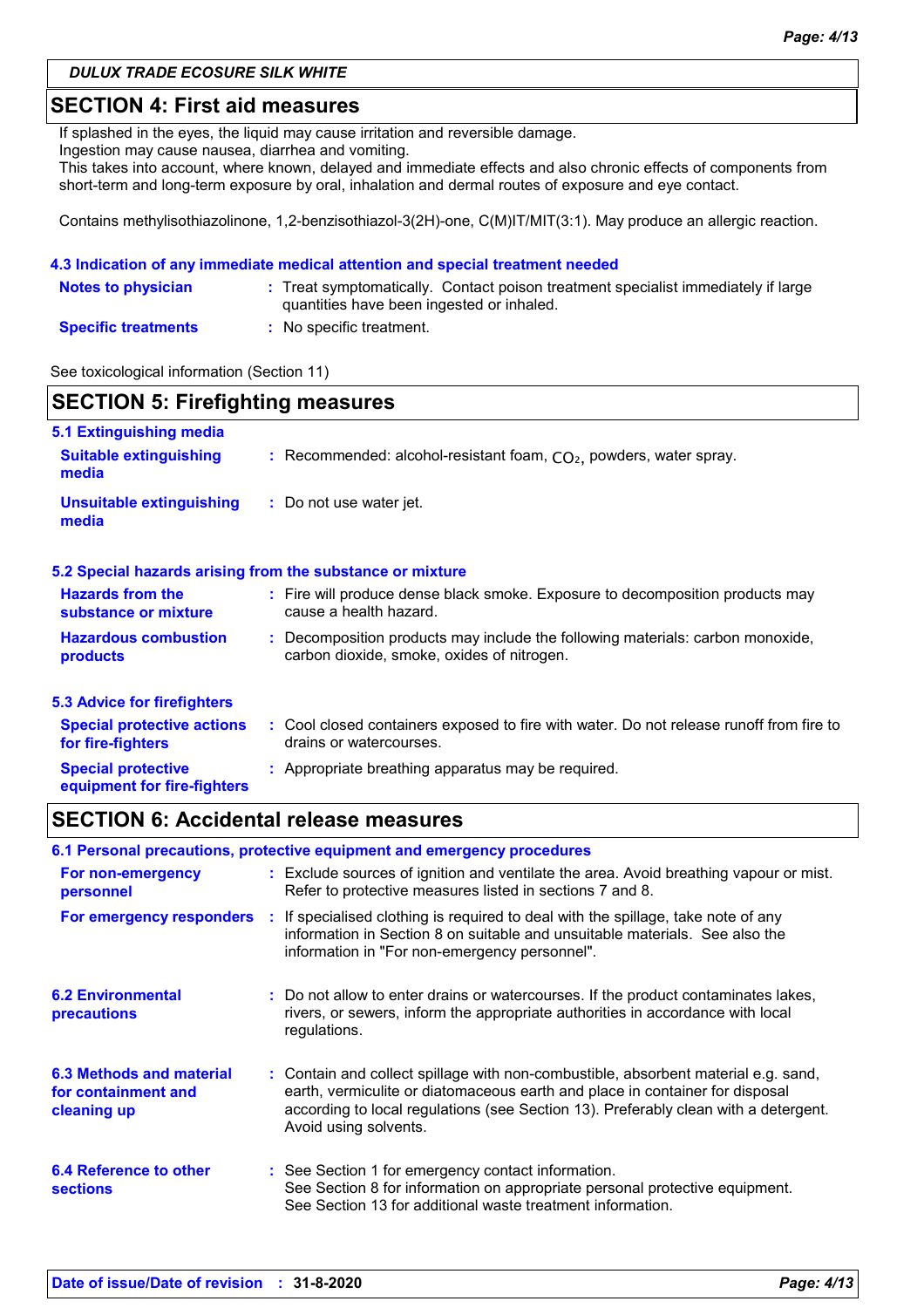### **SECTION 4: First aid measures**

If splashed in the eyes, the liquid may cause irritation and reversible damage.

Ingestion may cause nausea, diarrhea and vomiting.

This takes into account, where known, delayed and immediate effects and also chronic effects of components from short-term and long-term exposure by oral, inhalation and dermal routes of exposure and eye contact.

Contains methylisothiazolinone, 1,2-benzisothiazol-3(2H)-one, C(M)IT/MIT(3:1). May produce an allergic reaction.

#### **4.3 Indication of any immediate medical attention and special treatment needed**

| <b>Notes to physician</b>  | : Treat symptomatically. Contact poison treatment specialist immediately if large<br>quantities have been ingested or inhaled. |
|----------------------------|--------------------------------------------------------------------------------------------------------------------------------|
| <b>Specific treatments</b> | No specific treatment.                                                                                                         |

#### See toxicological information (Section 11)

| <b>SECTION 5: Firefighting measures</b>                  |                                                                                                                            |  |
|----------------------------------------------------------|----------------------------------------------------------------------------------------------------------------------------|--|
| 5.1 Extinguishing media                                  |                                                                                                                            |  |
| <b>Suitable extinguishing</b><br>media                   | : Recommended: alcohol-resistant foam, $CO2$ , powders, water spray.                                                       |  |
| <b>Unsuitable extinguishing</b><br>media                 | : Do not use water jet.                                                                                                    |  |
|                                                          | 5.2 Special hazards arising from the substance or mixture                                                                  |  |
| <b>Hazards from the</b><br>substance or mixture          | : Fire will produce dense black smoke. Exposure to decomposition products may<br>cause a health hazard.                    |  |
| <b>Hazardous combustion</b><br>products                  | Decomposition products may include the following materials: carbon monoxide,<br>carbon dioxide, smoke, oxides of nitrogen. |  |
| <b>5.3 Advice for firefighters</b>                       |                                                                                                                            |  |
| <b>Special protective actions</b><br>for fire-fighters   | : Cool closed containers exposed to fire with water. Do not release runoff from fire to<br>drains or watercourses.         |  |
| <b>Special protective</b><br>equipment for fire-fighters | : Appropriate breathing apparatus may be required.                                                                         |  |

### **SECTION 6: Accidental release measures**

| 6.1 Personal precautions, protective equipment and emergency procedures |  |                                                                                                                                                                                                                                                                                    |
|-------------------------------------------------------------------------|--|------------------------------------------------------------------------------------------------------------------------------------------------------------------------------------------------------------------------------------------------------------------------------------|
| For non-emergency<br>personnel                                          |  | : Exclude sources of ignition and ventilate the area. Avoid breathing vapour or mist.<br>Refer to protective measures listed in sections 7 and 8.                                                                                                                                  |
| For emergency responders                                                |  | : If specialised clothing is required to deal with the spillage, take note of any<br>information in Section 8 on suitable and unsuitable materials. See also the<br>information in "For non-emergency personnel".                                                                  |
| <b>6.2 Environmental</b><br>precautions                                 |  | : Do not allow to enter drains or watercourses. If the product contaminates lakes,<br>rivers, or sewers, inform the appropriate authorities in accordance with local<br>regulations.                                                                                               |
| 6.3 Methods and material<br>for containment and<br>cleaning up          |  | : Contain and collect spillage with non-combustible, absorbent material e.g. sand,<br>earth, vermiculite or diatomaceous earth and place in container for disposal<br>according to local regulations (see Section 13). Preferably clean with a detergent.<br>Avoid using solvents. |
| 6.4 Reference to other<br><b>sections</b>                               |  | : See Section 1 for emergency contact information.<br>See Section 8 for information on appropriate personal protective equipment.<br>See Section 13 for additional waste treatment information.                                                                                    |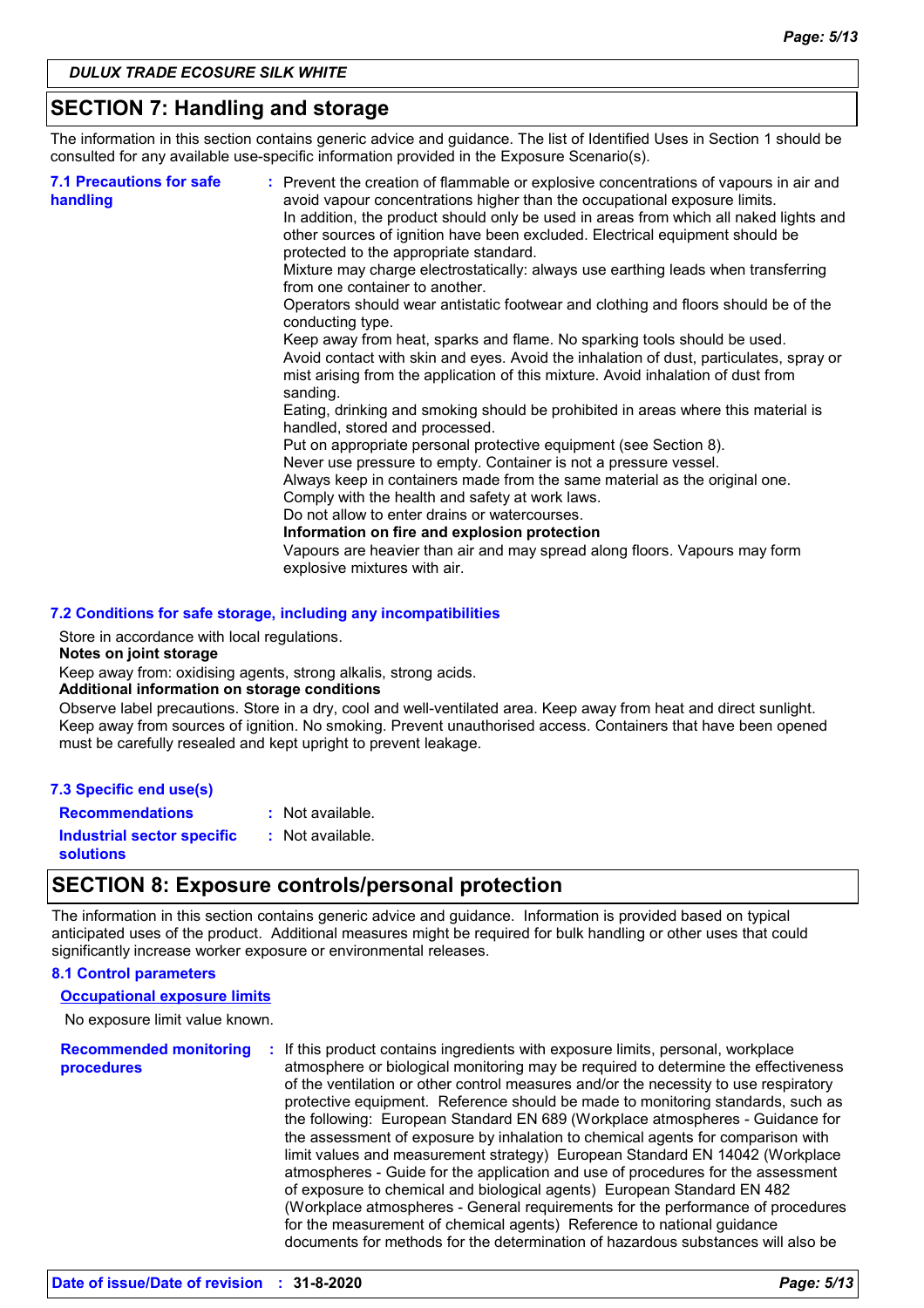### **SECTION 7: Handling and storage**

The information in this section contains generic advice and guidance. The list of Identified Uses in Section 1 should be consulted for any available use-specific information provided in the Exposure Scenario(s).

| Keep away from heat, sparks and flame. No sparking tools should be used.<br>Avoid contact with skin and eyes. Avoid the inhalation of dust, particulates, spray or<br>mist arising from the application of this mixture. Avoid inhalation of dust from<br>sanding.<br>Eating, drinking and smoking should be prohibited in areas where this material is<br>handled, stored and processed.<br>Put on appropriate personal protective equipment (see Section 8).<br>Never use pressure to empty. Container is not a pressure vessel.<br>Always keep in containers made from the same material as the original one.<br>Comply with the health and safety at work laws.<br>Do not allow to enter drains or watercourses.<br>Information on fire and explosion protection<br>Vapours are heavier than air and may spread along floors. Vapours may form<br>explosive mixtures with air. | <b>7.1 Precautions for safe</b><br>handling | : Prevent the creation of flammable or explosive concentrations of vapours in air and<br>avoid vapour concentrations higher than the occupational exposure limits.<br>In addition, the product should only be used in areas from which all naked lights and<br>other sources of ignition have been excluded. Electrical equipment should be<br>protected to the appropriate standard.<br>Mixture may charge electrostatically: always use earthing leads when transferring<br>from one container to another.<br>Operators should wear antistatic footwear and clothing and floors should be of the<br>conducting type. |
|------------------------------------------------------------------------------------------------------------------------------------------------------------------------------------------------------------------------------------------------------------------------------------------------------------------------------------------------------------------------------------------------------------------------------------------------------------------------------------------------------------------------------------------------------------------------------------------------------------------------------------------------------------------------------------------------------------------------------------------------------------------------------------------------------------------------------------------------------------------------------------|---------------------------------------------|------------------------------------------------------------------------------------------------------------------------------------------------------------------------------------------------------------------------------------------------------------------------------------------------------------------------------------------------------------------------------------------------------------------------------------------------------------------------------------------------------------------------------------------------------------------------------------------------------------------------|
|------------------------------------------------------------------------------------------------------------------------------------------------------------------------------------------------------------------------------------------------------------------------------------------------------------------------------------------------------------------------------------------------------------------------------------------------------------------------------------------------------------------------------------------------------------------------------------------------------------------------------------------------------------------------------------------------------------------------------------------------------------------------------------------------------------------------------------------------------------------------------------|---------------------------------------------|------------------------------------------------------------------------------------------------------------------------------------------------------------------------------------------------------------------------------------------------------------------------------------------------------------------------------------------------------------------------------------------------------------------------------------------------------------------------------------------------------------------------------------------------------------------------------------------------------------------------|

#### **7.2 Conditions for safe storage, including any incompatibilities**

Store in accordance with local regulations.

#### **Notes on joint storage**

Keep away from: oxidising agents, strong alkalis, strong acids.

#### **Additional information on storage conditions**

Observe label precautions. Store in a dry, cool and well-ventilated area. Keep away from heat and direct sunlight. Keep away from sources of ignition. No smoking. Prevent unauthorised access. Containers that have been opened must be carefully resealed and kept upright to prevent leakage.

#### **7.3 Specific end use(s)**

**Recommendations :** Not available.

**Industrial sector specific : solutions**

# : Not available.

### **SECTION 8: Exposure controls/personal protection**

The information in this section contains generic advice and guidance. Information is provided based on typical anticipated uses of the product. Additional measures might be required for bulk handling or other uses that could significantly increase worker exposure or environmental releases.

#### **8.1 Control parameters**

#### **Occupational exposure limits**

No exposure limit value known.

**Recommended monitoring procedures :** If this product contains ingredients with exposure limits, personal, workplace atmosphere or biological monitoring may be required to determine the effectiveness of the ventilation or other control measures and/or the necessity to use respiratory protective equipment. Reference should be made to monitoring standards, such as the following: European Standard EN 689 (Workplace atmospheres - Guidance for the assessment of exposure by inhalation to chemical agents for comparison with limit values and measurement strategy) European Standard EN 14042 (Workplace atmospheres - Guide for the application and use of procedures for the assessment of exposure to chemical and biological agents) European Standard EN 482 (Workplace atmospheres - General requirements for the performance of procedures for the measurement of chemical agents) Reference to national guidance documents for methods for the determination of hazardous substances will also be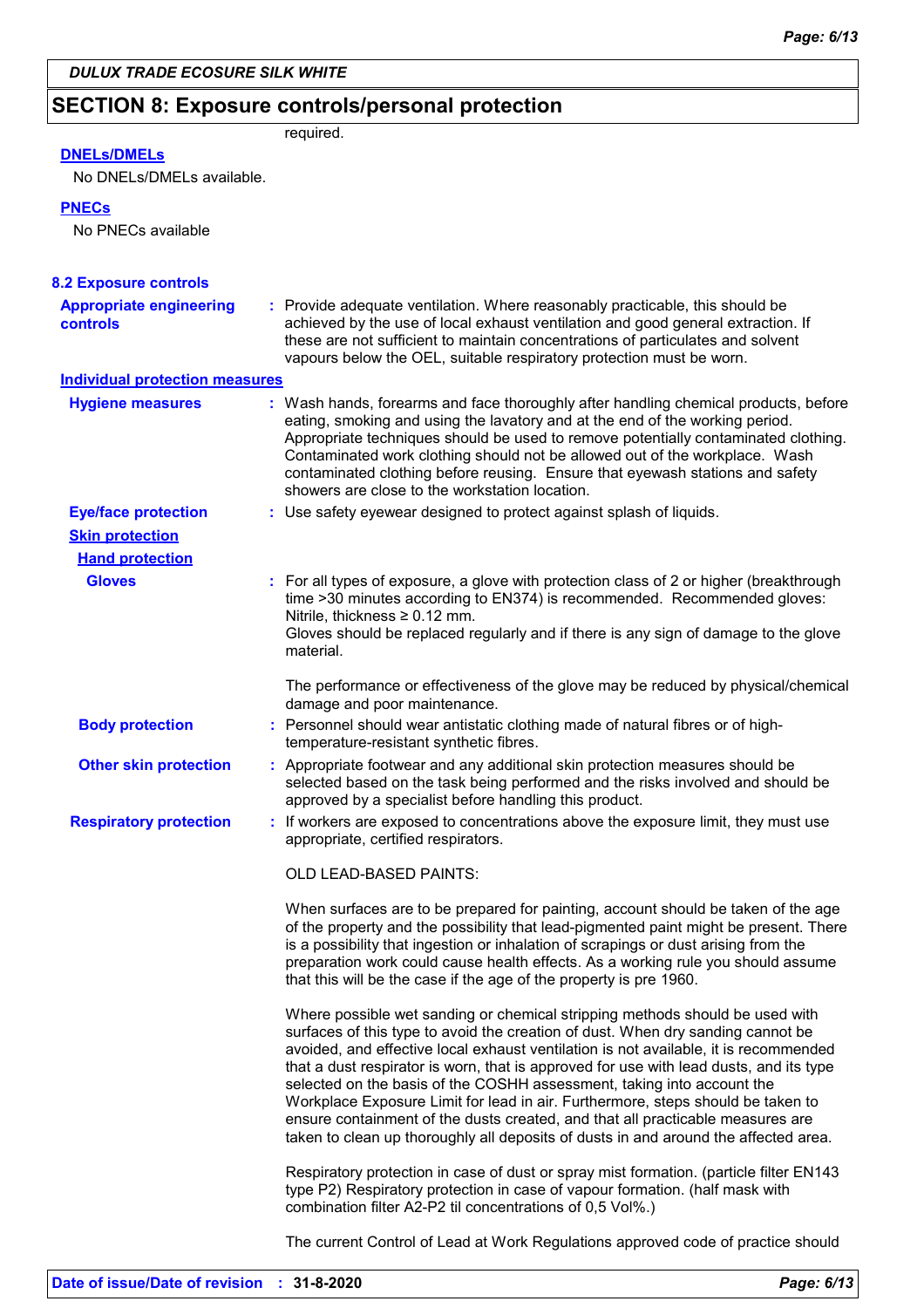### **SECTION 8: Exposure controls/personal protection**

| <b>DNELS/DMELS</b> |  |
|--------------------|--|

required.

### No DNELs/DMELs available.

#### **PNECs**

No PNECs available

| <b>8.2 Exposure controls</b><br><b>Appropriate engineering</b><br><b>controls</b> | : Provide adequate ventilation. Where reasonably practicable, this should be<br>achieved by the use of local exhaust ventilation and good general extraction. If<br>these are not sufficient to maintain concentrations of particulates and solvent<br>vapours below the OEL, suitable respiratory protection must be worn.                                                                                                                                                                                                                                                                                                                                                             |
|-----------------------------------------------------------------------------------|-----------------------------------------------------------------------------------------------------------------------------------------------------------------------------------------------------------------------------------------------------------------------------------------------------------------------------------------------------------------------------------------------------------------------------------------------------------------------------------------------------------------------------------------------------------------------------------------------------------------------------------------------------------------------------------------|
| <b>Individual protection measures</b>                                             |                                                                                                                                                                                                                                                                                                                                                                                                                                                                                                                                                                                                                                                                                         |
| <b>Hygiene measures</b>                                                           | : Wash hands, forearms and face thoroughly after handling chemical products, before<br>eating, smoking and using the lavatory and at the end of the working period.<br>Appropriate techniques should be used to remove potentially contaminated clothing.<br>Contaminated work clothing should not be allowed out of the workplace. Wash<br>contaminated clothing before reusing. Ensure that eyewash stations and safety<br>showers are close to the workstation location.                                                                                                                                                                                                             |
| <b>Eye/face protection</b>                                                        | : Use safety eyewear designed to protect against splash of liquids.                                                                                                                                                                                                                                                                                                                                                                                                                                                                                                                                                                                                                     |
| <b>Skin protection</b>                                                            |                                                                                                                                                                                                                                                                                                                                                                                                                                                                                                                                                                                                                                                                                         |
| <b>Hand protection</b>                                                            |                                                                                                                                                                                                                                                                                                                                                                                                                                                                                                                                                                                                                                                                                         |
| <b>Gloves</b>                                                                     | : For all types of exposure, a glove with protection class of 2 or higher (breakthrough<br>time >30 minutes according to EN374) is recommended. Recommended gloves:<br>Nitrile, thickness $\geq 0.12$ mm.<br>Gloves should be replaced regularly and if there is any sign of damage to the glove<br>material.                                                                                                                                                                                                                                                                                                                                                                           |
|                                                                                   | The performance or effectiveness of the glove may be reduced by physical/chemical<br>damage and poor maintenance.                                                                                                                                                                                                                                                                                                                                                                                                                                                                                                                                                                       |
| <b>Body protection</b>                                                            | : Personnel should wear antistatic clothing made of natural fibres or of high-<br>temperature-resistant synthetic fibres.                                                                                                                                                                                                                                                                                                                                                                                                                                                                                                                                                               |
| <b>Other skin protection</b>                                                      | : Appropriate footwear and any additional skin protection measures should be<br>selected based on the task being performed and the risks involved and should be<br>approved by a specialist before handling this product.                                                                                                                                                                                                                                                                                                                                                                                                                                                               |
| <b>Respiratory protection</b>                                                     | : If workers are exposed to concentrations above the exposure limit, they must use<br>appropriate, certified respirators.                                                                                                                                                                                                                                                                                                                                                                                                                                                                                                                                                               |
|                                                                                   | OLD LEAD-BASED PAINTS:                                                                                                                                                                                                                                                                                                                                                                                                                                                                                                                                                                                                                                                                  |
|                                                                                   | When surfaces are to be prepared for painting, account should be taken of the age<br>of the property and the possibility that lead-pigmented paint might be present. There<br>is a possibility that ingestion or inhalation of scrapings or dust arising from the<br>preparation work could cause health effects. As a working rule you should assume<br>that this will be the case if the age of the property is pre 1960.                                                                                                                                                                                                                                                             |
|                                                                                   | Where possible wet sanding or chemical stripping methods should be used with<br>surfaces of this type to avoid the creation of dust. When dry sanding cannot be<br>avoided, and effective local exhaust ventilation is not available, it is recommended<br>that a dust respirator is worn, that is approved for use with lead dusts, and its type<br>selected on the basis of the COSHH assessment, taking into account the<br>Workplace Exposure Limit for lead in air. Furthermore, steps should be taken to<br>ensure containment of the dusts created, and that all practicable measures are<br>taken to clean up thoroughly all deposits of dusts in and around the affected area. |
|                                                                                   | Respiratory protection in case of dust or spray mist formation. (particle filter EN143<br>type P2) Respiratory protection in case of vapour formation. (half mask with<br>combination filter A2-P2 til concentrations of 0,5 Vol%.)                                                                                                                                                                                                                                                                                                                                                                                                                                                     |
|                                                                                   | The current Control of Lead at Work Regulations approved code of practice should                                                                                                                                                                                                                                                                                                                                                                                                                                                                                                                                                                                                        |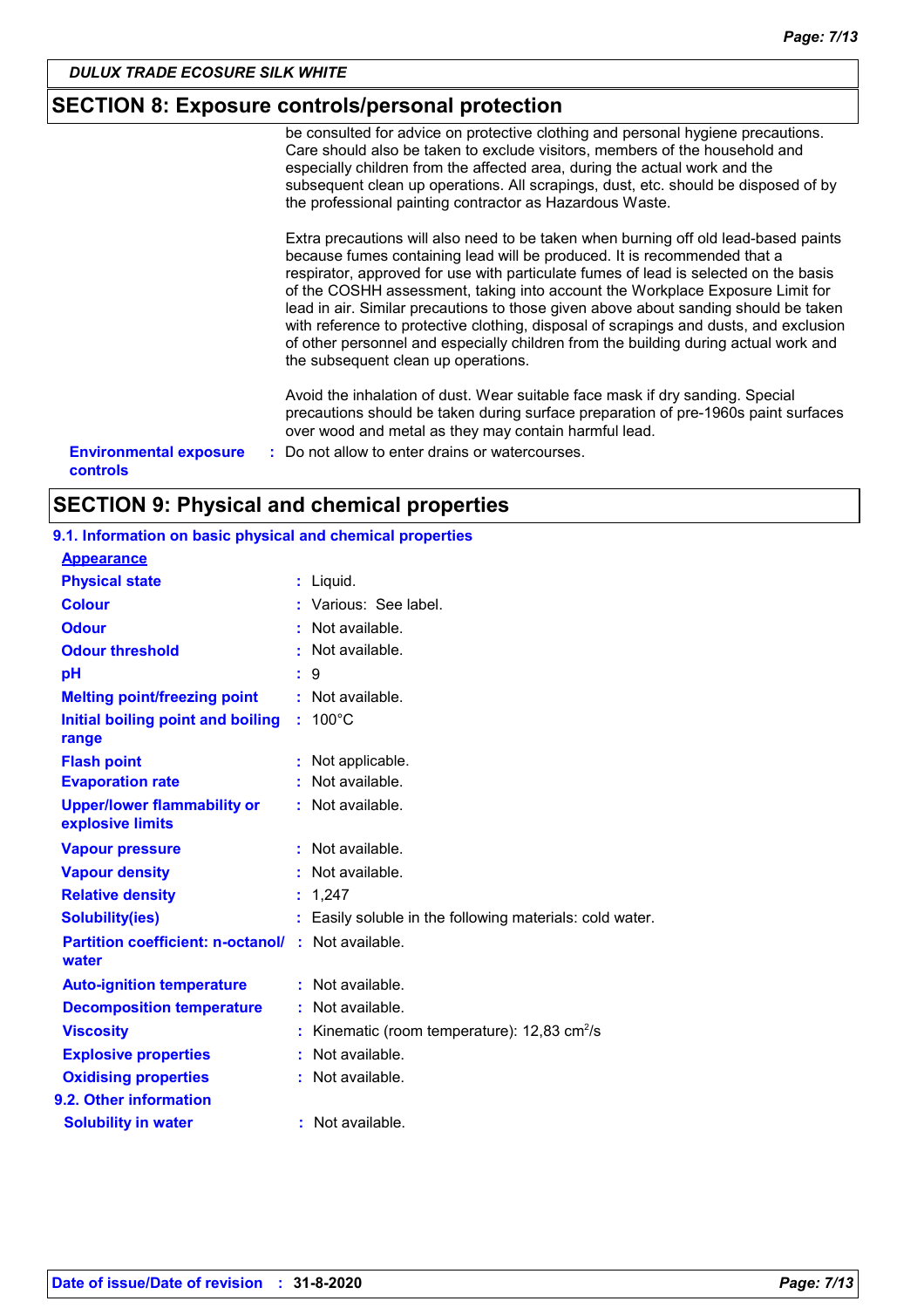### **SECTION 8: Exposure controls/personal protection**

be consulted for advice on protective clothing and personal hygiene precautions. Care should also be taken to exclude visitors, members of the household and especially children from the affected area, during the actual work and the subsequent clean up operations. All scrapings, dust, etc. should be disposed of by the professional painting contractor as Hazardous Waste.

Extra precautions will also need to be taken when burning off old lead-based paints because fumes containing lead will be produced. It is recommended that a respirator, approved for use with particulate fumes of lead is selected on the basis of the COSHH assessment, taking into account the Workplace Exposure Limit for lead in air. Similar precautions to those given above about sanding should be taken with reference to protective clothing, disposal of scrapings and dusts, and exclusion of other personnel and especially children from the building during actual work and the subsequent clean up operations.

Avoid the inhalation of dust. Wear suitable face mask if dry sanding. Special precautions should be taken during surface preparation of pre-1960s paint surfaces over wood and metal as they may contain harmful lead.

**Environmental exposure : Do not allow to enter drains or watercourses. controls**

### **SECTION 9: Physical and chemical properties**

### **9.1. Information on basic physical and chemical properties**

| <b>Appearance</b>                                                  |                                                          |
|--------------------------------------------------------------------|----------------------------------------------------------|
| <b>Physical state</b>                                              | : Liquid.                                                |
| <b>Colour</b>                                                      | Various: See label.                                      |
| <b>Odour</b>                                                       | Not available.                                           |
| <b>Odour threshold</b>                                             | Not available.                                           |
| рH                                                                 | : 9                                                      |
| <b>Melting point/freezing point</b>                                | $:$ Not available.                                       |
| Initial boiling point and boiling<br>range                         | $: 100^{\circ}$ C                                        |
| <b>Flash point</b>                                                 | Not applicable.<br>÷                                     |
| <b>Evaporation rate</b>                                            | Not available.                                           |
| <b>Upper/lower flammability or</b><br>explosive limits             | Not available.                                           |
| <b>Vapour pressure</b>                                             | $:$ Not available.                                       |
| <b>Vapour density</b>                                              | : Not available.                                         |
| <b>Relative density</b>                                            | : 1,247                                                  |
| <b>Solubility(ies)</b>                                             | Easily soluble in the following materials: cold water.   |
| <b>Partition coefficient: n-octanol/ : Not available.</b><br>water |                                                          |
| <b>Auto-ignition temperature</b>                                   | : Not available.                                         |
| <b>Decomposition temperature</b>                                   | Not available.                                           |
| <b>Viscosity</b>                                                   | Kinematic (room temperature): $12,83$ cm <sup>2</sup> /s |
| <b>Explosive properties</b>                                        | Not available.                                           |
| <b>Oxidising properties</b>                                        | Not available.                                           |
| 9.2. Other information                                             |                                                          |
| <b>Solubility in water</b>                                         | : Not available.                                         |
|                                                                    |                                                          |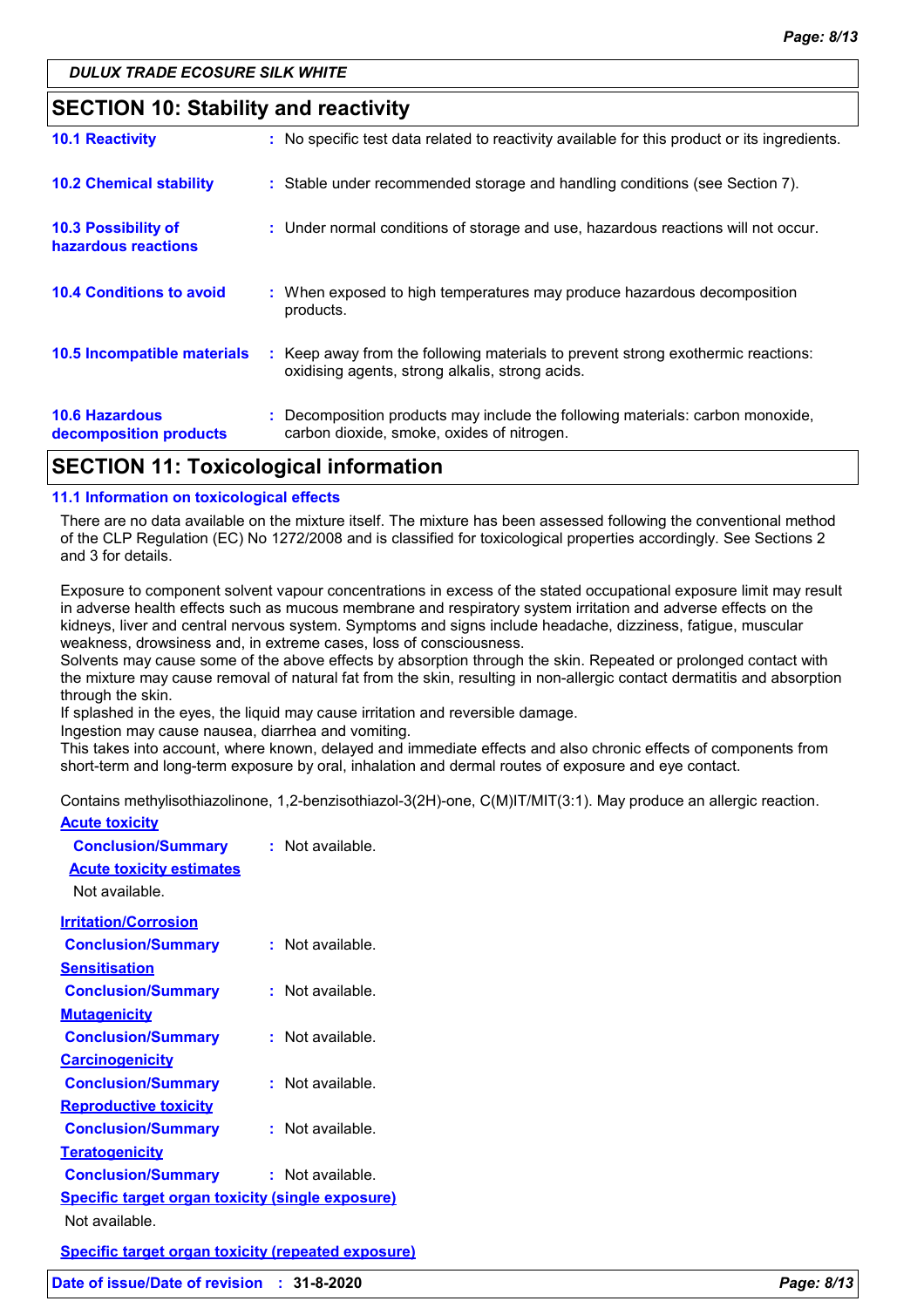### **SECTION 10: Stability and reactivity**

| <b>10.6 Hazardous</b><br>decomposition products | : Decomposition products may include the following materials: carbon monoxide,<br>carbon dioxide, smoke, oxides of nitrogen.        |
|-------------------------------------------------|-------------------------------------------------------------------------------------------------------------------------------------|
| 10.5 Incompatible materials                     | : Keep away from the following materials to prevent strong exothermic reactions:<br>oxidising agents, strong alkalis, strong acids. |
| <b>10.4 Conditions to avoid</b>                 | : When exposed to high temperatures may produce hazardous decomposition<br>products.                                                |
| 10.3 Possibility of<br>hazardous reactions      | : Under normal conditions of storage and use, hazardous reactions will not occur.                                                   |
| <b>10.2 Chemical stability</b>                  | : Stable under recommended storage and handling conditions (see Section 7).                                                         |
| <b>10.1 Reactivity</b>                          | : No specific test data related to reactivity available for this product or its ingredients.                                        |

# **SECTION 11: Toxicological information**

#### **11.1 Information on toxicological effects**

There are no data available on the mixture itself. The mixture has been assessed following the conventional method of the CLP Regulation (EC) No 1272/2008 and is classified for toxicological properties accordingly. See Sections 2 and 3 for details.

Exposure to component solvent vapour concentrations in excess of the stated occupational exposure limit may result in adverse health effects such as mucous membrane and respiratory system irritation and adverse effects on the kidneys, liver and central nervous system. Symptoms and signs include headache, dizziness, fatigue, muscular weakness, drowsiness and, in extreme cases, loss of consciousness.

Solvents may cause some of the above effects by absorption through the skin. Repeated or prolonged contact with the mixture may cause removal of natural fat from the skin, resulting in non-allergic contact dermatitis and absorption through the skin.

If splashed in the eyes, the liquid may cause irritation and reversible damage.

Ingestion may cause nausea, diarrhea and vomiting.

This takes into account, where known, delayed and immediate effects and also chronic effects of components from short-term and long-term exposure by oral, inhalation and dermal routes of exposure and eye contact.

Contains methylisothiazolinone, 1,2-benzisothiazol-3(2H)-one, C(M)IT/MIT(3:1). May produce an allergic reaction.

| <b>Acute toxicity</b>                                     |                      |  |  |
|-----------------------------------------------------------|----------------------|--|--|
| <b>Conclusion/Summary</b>                                 | $:$ Not available.   |  |  |
| <b>Acute toxicity estimates</b>                           |                      |  |  |
| Not available.                                            |                      |  |  |
| <b>Irritation/Corrosion</b>                               |                      |  |  |
| <b>Conclusion/Summary</b>                                 | : Not available.     |  |  |
| <b>Sensitisation</b>                                      |                      |  |  |
| <b>Conclusion/Summary</b>                                 | Not available.<br>t. |  |  |
| <b>Mutagenicity</b>                                       |                      |  |  |
| <b>Conclusion/Summary</b>                                 | $:$ Not available.   |  |  |
| <b>Carcinogenicity</b>                                    |                      |  |  |
| <b>Conclusion/Summary</b>                                 | : Not available.     |  |  |
| <b>Reproductive toxicity</b>                              |                      |  |  |
| <b>Conclusion/Summary</b>                                 | $:$ Not available.   |  |  |
| <b>Teratogenicity</b>                                     |                      |  |  |
| <b>Conclusion/Summary</b>                                 | : Not available.     |  |  |
| <b>Specific target organ toxicity (single exposure)</b>   |                      |  |  |
| Not available.                                            |                      |  |  |
| <b>Specific target organ toxicity (repeated exposure)</b> |                      |  |  |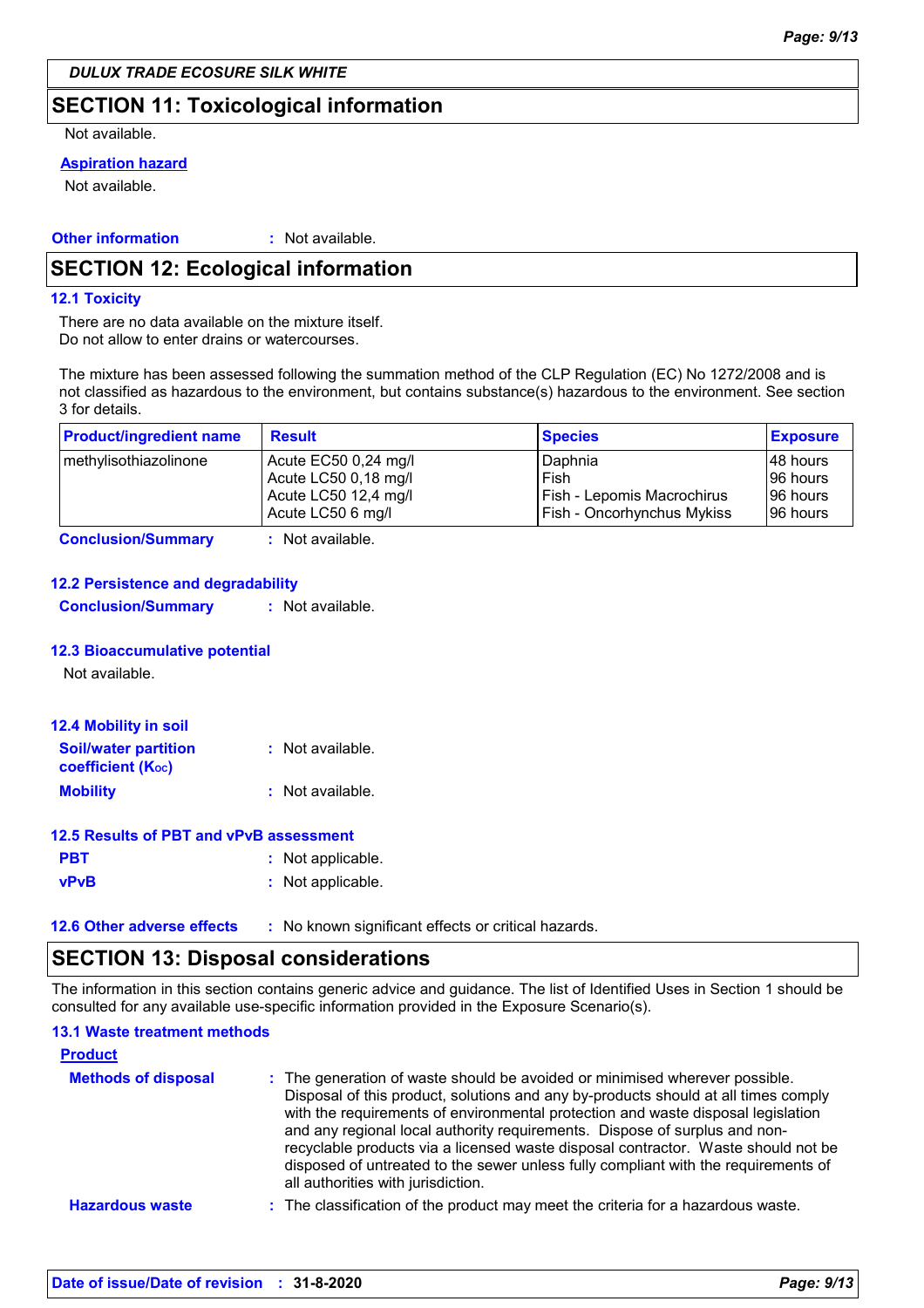### **SECTION 11: Toxicological information**

Not available.

#### **Aspiration hazard**

Not available.

#### **Other information :** : Not available.

### **SECTION 12: Ecological information**

#### **12.1 Toxicity**

There are no data available on the mixture itself. Do not allow to enter drains or watercourses.

The mixture has been assessed following the summation method of the CLP Regulation (EC) No 1272/2008 and is not classified as hazardous to the environment, but contains substance(s) hazardous to the environment. See section 3 for details.

| <b>Product/ingredient name</b> | <b>Result</b>                             | <b>Species</b>                                           | <b>Exposure</b>       |
|--------------------------------|-------------------------------------------|----------------------------------------------------------|-----------------------|
| methylisothiazolinone          | Acute EC50 0,24 mg/l                      | Daphnia                                                  | 48 hours              |
|                                | Acute LC50 0,18 mg/l                      | Fish                                                     | 96 hours<br>196 hours |
|                                | Acute LC50 12,4 mg/l<br>Acute LC50 6 mg/l | Fish - Lepomis Macrochirus<br>Fish - Oncorhynchus Mykiss | 96 hours              |

**Conclusion/Summary :** Not available.

#### **12.2 Persistence and degradability**

**Conclusion/Summary :** Not available.

#### **12.3 Bioaccumulative potential**

Not available.

| <b>12.4 Mobility in soil</b>                                         |                  |
|----------------------------------------------------------------------|------------------|
| <b>Soil/water partition</b><br><b>coefficient</b> (K <sub>oc</sub> ) | : Not available. |
| <b>Mobility</b>                                                      | : Not available. |

#### **12.5 Results of PBT and vPvB assessment**

| <b>PBT</b>  | : Not applicable. |
|-------------|-------------------|
| <b>vPvB</b> | : Not applicable. |
|             |                   |

**12.6 Other adverse effects** : No known significant effects or critical hazards.

### **SECTION 13: Disposal considerations**

The information in this section contains generic advice and guidance. The list of Identified Uses in Section 1 should be consulted for any available use-specific information provided in the Exposure Scenario(s).

| <b>13.1 Waste treatment methods</b> |                                                                                                                                                                                                                                                                                                                                                                                                                                                                                                                                                      |
|-------------------------------------|------------------------------------------------------------------------------------------------------------------------------------------------------------------------------------------------------------------------------------------------------------------------------------------------------------------------------------------------------------------------------------------------------------------------------------------------------------------------------------------------------------------------------------------------------|
| <b>Product</b>                      |                                                                                                                                                                                                                                                                                                                                                                                                                                                                                                                                                      |
| <b>Methods of disposal</b>          | : The generation of waste should be avoided or minimised wherever possible.<br>Disposal of this product, solutions and any by-products should at all times comply<br>with the requirements of environmental protection and waste disposal legislation<br>and any regional local authority requirements. Dispose of surplus and non-<br>recyclable products via a licensed waste disposal contractor. Waste should not be<br>disposed of untreated to the sewer unless fully compliant with the requirements of<br>all authorities with jurisdiction. |
| <b>Hazardous waste</b>              | : The classification of the product may meet the criteria for a hazardous waste.                                                                                                                                                                                                                                                                                                                                                                                                                                                                     |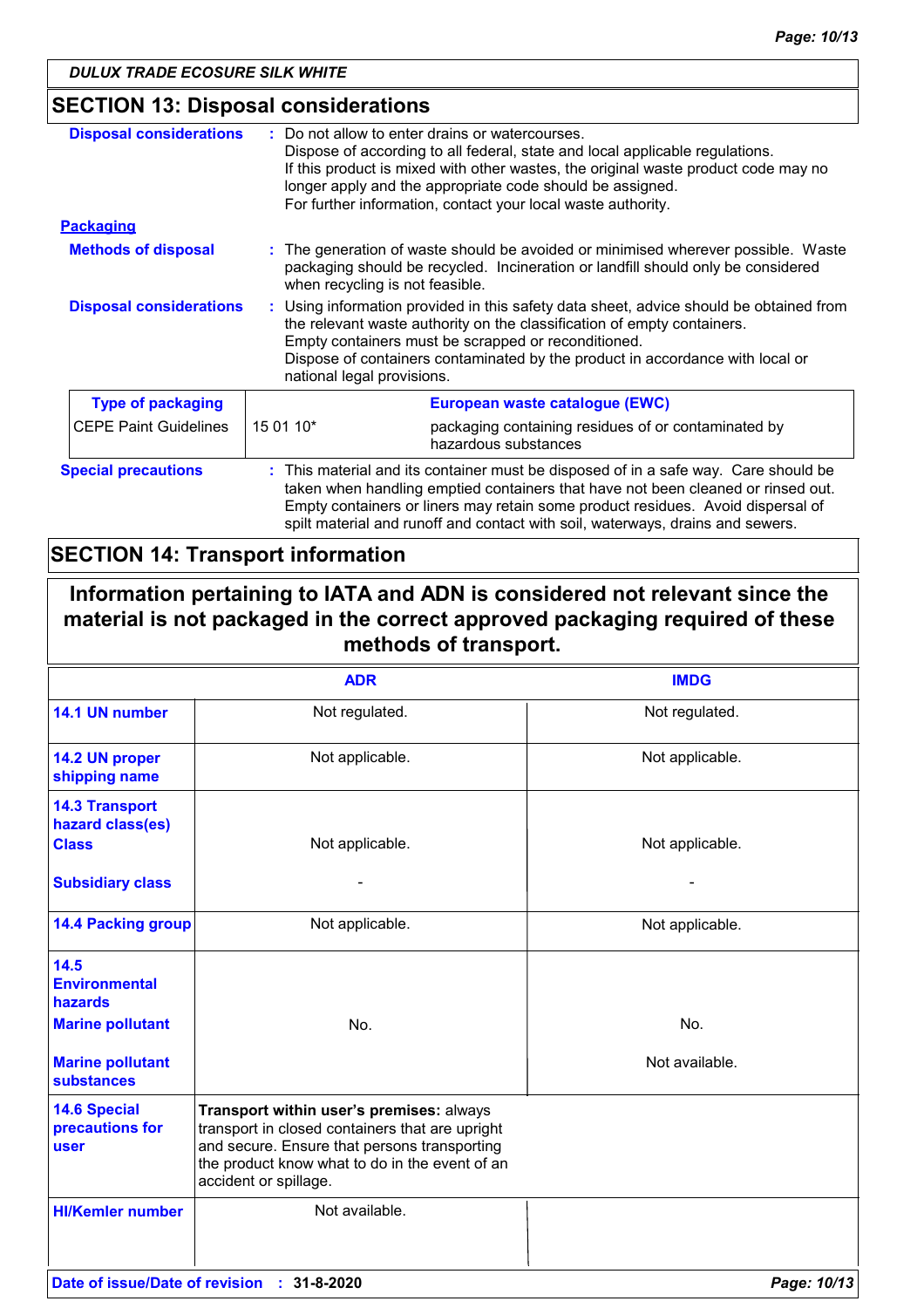### **SECTION 13: Disposal considerations**

| <b>Disposal considerations</b> |                                                                                                                                                                                                                                                                                                                                              | Do not allow to enter drains or watercourses.<br>Dispose of according to all federal, state and local applicable regulations.<br>If this product is mixed with other wastes, the original waste product code may no<br>longer apply and the appropriate code should be assigned.<br>For further information, contact your local waste authority. |  |
|--------------------------------|----------------------------------------------------------------------------------------------------------------------------------------------------------------------------------------------------------------------------------------------------------------------------------------------------------------------------------------------|--------------------------------------------------------------------------------------------------------------------------------------------------------------------------------------------------------------------------------------------------------------------------------------------------------------------------------------------------|--|
| <b>Packaging</b>               |                                                                                                                                                                                                                                                                                                                                              |                                                                                                                                                                                                                                                                                                                                                  |  |
| <b>Methods of disposal</b>     | : The generation of waste should be avoided or minimised wherever possible. Waste<br>packaging should be recycled. Incineration or landfill should only be considered<br>when recycling is not feasible.                                                                                                                                     |                                                                                                                                                                                                                                                                                                                                                  |  |
| <b>Disposal considerations</b> | : Using information provided in this safety data sheet, advice should be obtained from<br>the relevant waste authority on the classification of empty containers.<br>Empty containers must be scrapped or reconditioned.<br>Dispose of containers contaminated by the product in accordance with local or<br>national legal provisions.      |                                                                                                                                                                                                                                                                                                                                                  |  |
| <b>Type of packaging</b>       |                                                                                                                                                                                                                                                                                                                                              | European waste catalogue (EWC)                                                                                                                                                                                                                                                                                                                   |  |
| <b>CEPE Paint Guidelines</b>   | 15 01 10*                                                                                                                                                                                                                                                                                                                                    | packaging containing residues of or contaminated by<br>hazardous substances                                                                                                                                                                                                                                                                      |  |
| <b>Special precautions</b>     | : This material and its container must be disposed of in a safe way. Care should be<br>taken when handling emptied containers that have not been cleaned or rinsed out.<br>Empty containers or liners may retain some product residues. Avoid dispersal of<br>spilt material and runoff and contact with soil, waterways, drains and sewers. |                                                                                                                                                                                                                                                                                                                                                  |  |

### **SECTION 14: Transport information**

**Information pertaining to IATA and ADN is considered not relevant since the material is not packaged in the correct approved packaging required of these methods of transport.**

|                                                           | <b>ADR</b>                                                                                                                                                                                                             | <b>IMDG</b>     |
|-----------------------------------------------------------|------------------------------------------------------------------------------------------------------------------------------------------------------------------------------------------------------------------------|-----------------|
| 14.1 UN number                                            | Not regulated.                                                                                                                                                                                                         | Not regulated.  |
| 14.2 UN proper<br>shipping name                           | Not applicable.                                                                                                                                                                                                        | Not applicable. |
| <b>14.3 Transport</b><br>hazard class(es)<br><b>Class</b> | Not applicable.                                                                                                                                                                                                        | Not applicable. |
| <b>Subsidiary class</b>                                   |                                                                                                                                                                                                                        |                 |
| <b>14.4 Packing group</b>                                 | Not applicable.                                                                                                                                                                                                        | Not applicable. |
| 14.5<br><b>Environmental</b><br>hazards                   |                                                                                                                                                                                                                        |                 |
| <b>Marine pollutant</b>                                   | No.                                                                                                                                                                                                                    | No.             |
| <b>Marine pollutant</b><br><b>substances</b>              |                                                                                                                                                                                                                        | Not available.  |
| <b>14.6 Special</b><br>precautions for<br><b>user</b>     | Transport within user's premises: always<br>transport in closed containers that are upright<br>and secure. Ensure that persons transporting<br>the product know what to do in the event of an<br>accident or spillage. |                 |
| <b>HI/Kemler number</b>                                   | Not available.                                                                                                                                                                                                         |                 |
| Date of issue/Date of revision : 31-8-2020                |                                                                                                                                                                                                                        | Page: 10/13     |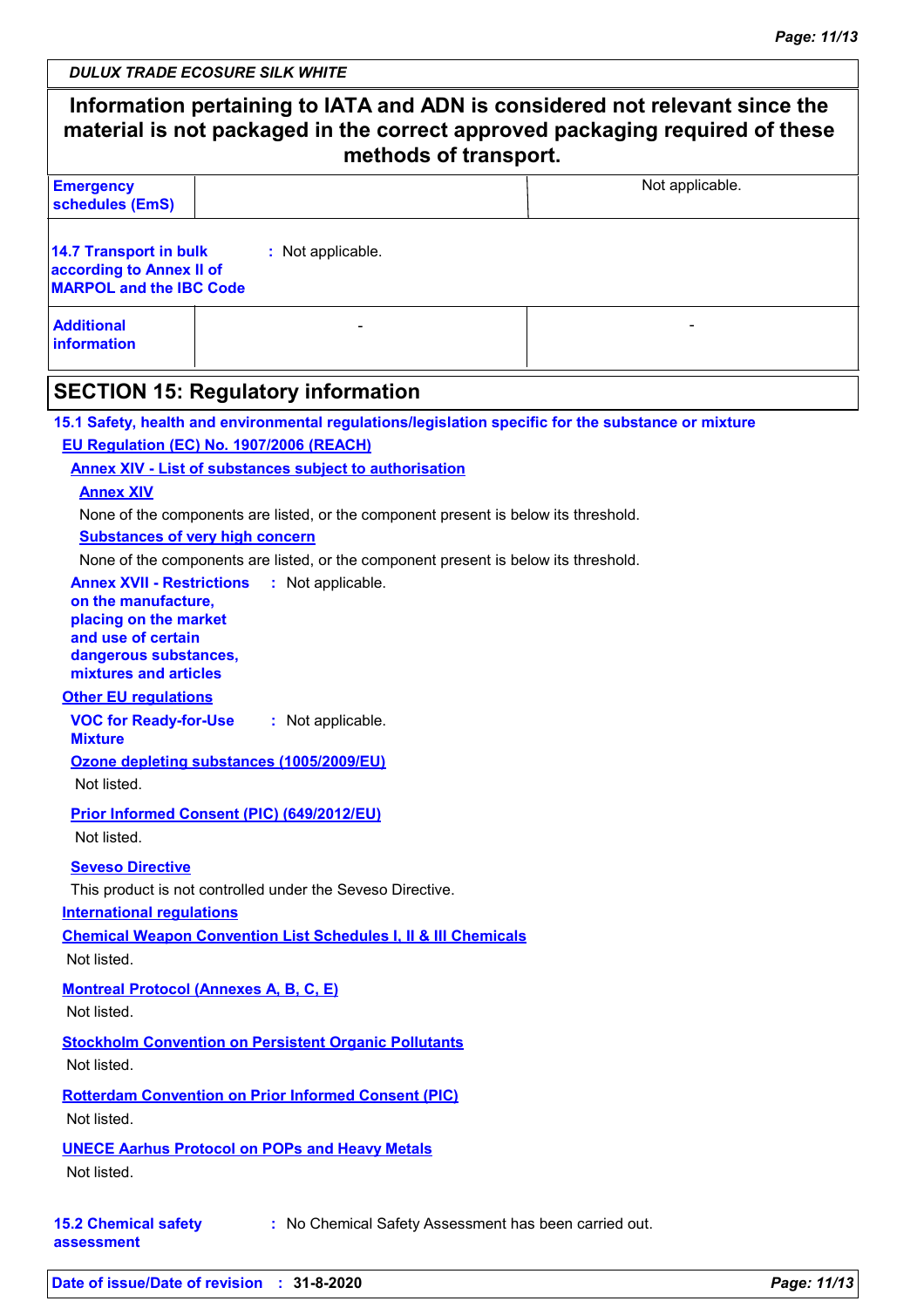ヿ

| <b>DULUX TRADE ECOSURE SILK WHITE</b> |
|---------------------------------------|
|---------------------------------------|

 $\overline{\phantom{a}}$ 

| <b>Emergency</b><br>schedules (EmS)                                                                                                                                                                                                                                                                                                                                                                                                                                                 |                                                                                                                                                                                                                                                                                        | Not applicable.                                                                                     |  |  |
|-------------------------------------------------------------------------------------------------------------------------------------------------------------------------------------------------------------------------------------------------------------------------------------------------------------------------------------------------------------------------------------------------------------------------------------------------------------------------------------|----------------------------------------------------------------------------------------------------------------------------------------------------------------------------------------------------------------------------------------------------------------------------------------|-----------------------------------------------------------------------------------------------------|--|--|
| <b>14.7 Transport in bulk</b><br>according to Annex II of<br><b>MARPOL and the IBC Code</b>                                                                                                                                                                                                                                                                                                                                                                                         | : Not applicable.                                                                                                                                                                                                                                                                      |                                                                                                     |  |  |
| <b>Additional</b><br>information                                                                                                                                                                                                                                                                                                                                                                                                                                                    |                                                                                                                                                                                                                                                                                        |                                                                                                     |  |  |
| <b>SECTION 15: Regulatory information</b>                                                                                                                                                                                                                                                                                                                                                                                                                                           |                                                                                                                                                                                                                                                                                        |                                                                                                     |  |  |
| EU Regulation (EC) No. 1907/2006 (REACH)<br><b>Annex XIV</b><br><b>Substances of very high concern</b><br><b>Annex XVII - Restrictions</b><br>on the manufacture,<br>placing on the market<br>and use of certain<br>dangerous substances,<br>mixtures and articles<br><b>Other EU regulations</b><br><b>VOC for Ready-for-Use</b><br><b>Mixture</b><br>Ozone depleting substances (1005/2009/EU)<br>Not listed.<br><b>Prior Informed Consent (PIC) (649/2012/EU)</b><br>Not listed. | <b>Annex XIV - List of substances subject to authorisation</b><br>None of the components are listed, or the component present is below its threshold.<br>None of the components are listed, or the component present is below its threshold.<br>: Not applicable.<br>: Not applicable. | 15.1 Safety, health and environmental regulations/legislation specific for the substance or mixture |  |  |
| <b>Seveso Directive</b><br><b>International regulations</b><br>Not listed.                                                                                                                                                                                                                                                                                                                                                                                                          | This product is not controlled under the Seveso Directive.<br><b>Chemical Weapon Convention List Schedules I, II &amp; III Chemicals</b>                                                                                                                                               |                                                                                                     |  |  |
| <b>Montreal Protocol (Annexes A, B, C, E)</b><br>Not listed.                                                                                                                                                                                                                                                                                                                                                                                                                        |                                                                                                                                                                                                                                                                                        |                                                                                                     |  |  |
| Not listed.                                                                                                                                                                                                                                                                                                                                                                                                                                                                         | <b>Stockholm Convention on Persistent Organic Pollutants</b>                                                                                                                                                                                                                           |                                                                                                     |  |  |
| Not listed.                                                                                                                                                                                                                                                                                                                                                                                                                                                                         | <b>Rotterdam Convention on Prior Informed Consent (PIC)</b>                                                                                                                                                                                                                            |                                                                                                     |  |  |
|                                                                                                                                                                                                                                                                                                                                                                                                                                                                                     | <b>UNECE Aarhus Protocol on POPs and Heavy Metals</b>                                                                                                                                                                                                                                  |                                                                                                     |  |  |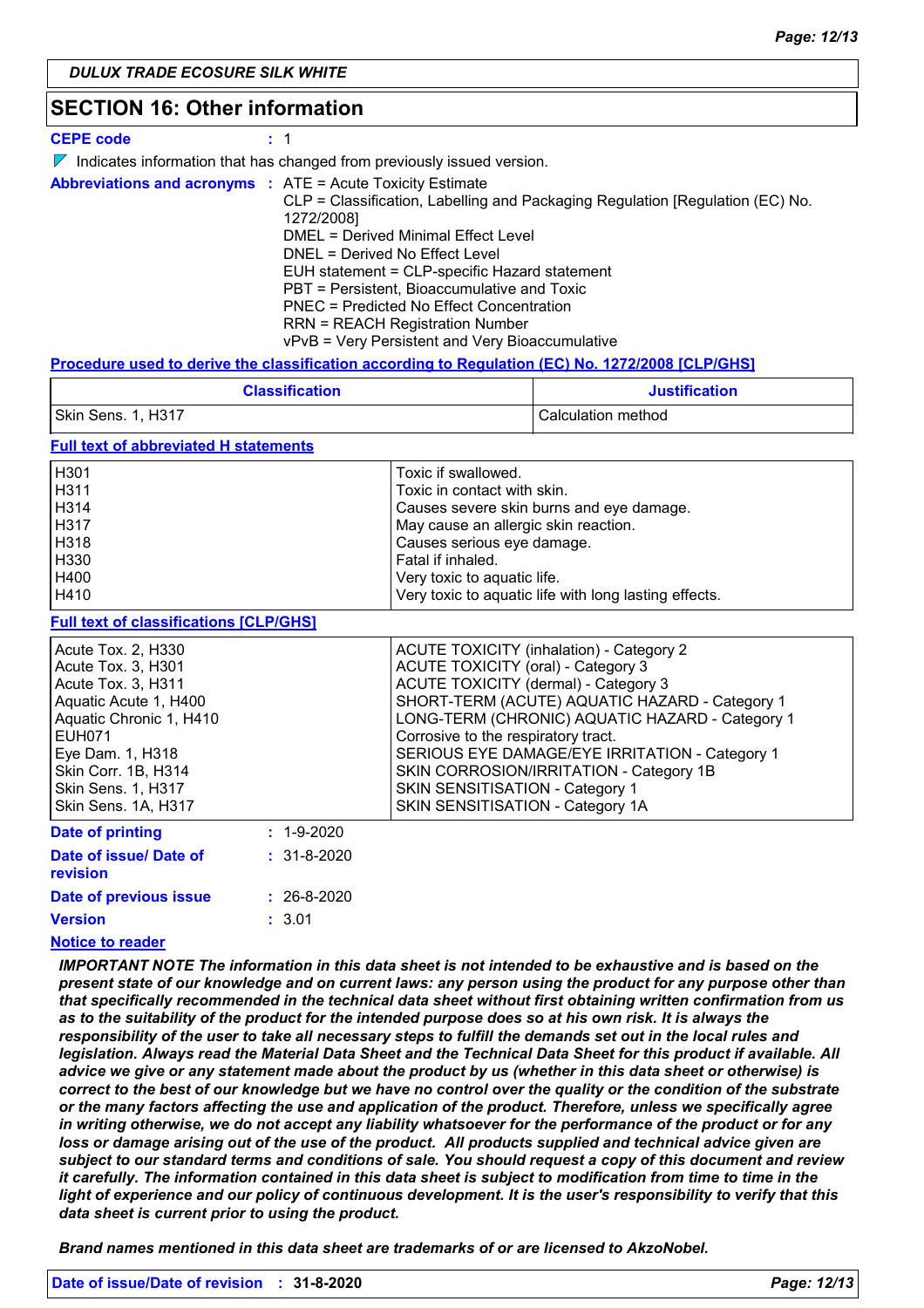### **SECTION 16: Other information**

| <b>CEPE code</b> |  |
|------------------|--|
|------------------|--|

|  |  |  |  |  |  |  |  | $\nabla$ Indicates information that has changed from previously issued version. |
|--|--|--|--|--|--|--|--|---------------------------------------------------------------------------------|
|--|--|--|--|--|--|--|--|---------------------------------------------------------------------------------|

|  | <b>Abbreviations and acronyms : ATE = Acute Toxicity Estimate</b>             |
|--|-------------------------------------------------------------------------------|
|  | CLP = Classification, Labelling and Packaging Regulation [Regulation (EC) No. |
|  | 1272/2008]                                                                    |
|  | DMEL = Derived Minimal Effect Level                                           |
|  | DNEL = Derived No Effect Level                                                |
|  | EUH statement = CLP-specific Hazard statement                                 |
|  | PBT = Persistent, Bioaccumulative and Toxic                                   |
|  | PNEC = Predicted No Effect Concentration                                      |
|  | <b>RRN = REACH Registration Number</b>                                        |
|  | vPvB = Very Persistent and Very Bioaccumulative                               |

#### **Procedure used to derive the classification according to Regulation (EC) No. 1272/2008 [CLP/GHS]**

| <b>Classification</b> | <b>Justification</b> |  |  |
|-----------------------|----------------------|--|--|
| Skin Sens. 1, H317    | Calculation method   |  |  |

### **Full text of abbreviated H statements**

| H <sub>301</sub> | Toxic if swallowed.                                   |
|------------------|-------------------------------------------------------|
| H311             | Toxic in contact with skin.                           |
| H314             | Causes severe skin burns and eye damage.              |
| H317             | May cause an allergic skin reaction.                  |
| H318             | Causes serious eye damage.                            |
| H330             | Fatal if inhaled.                                     |
| H400             | Very toxic to aquatic life.                           |
| H410             | Very toxic to aquatic life with long lasting effects. |
|                  |                                                       |

### **Full text of classifications [CLP/GHS]**

| <u>I dii text of ciassifications foel for iof</u><br>Acute Tox. 2, H330<br>Acute Tox. 3, H301<br>Acute Tox. 3, H311<br>Aquatic Acute 1, H400<br>Aquatic Chronic 1, H410<br><b>EUH071</b><br>Eye Dam. 1, H318 | <b>ACUTE TOXICITY (inhalation) - Category 2</b><br>ACUTE TOXICITY (oral) - Category 3<br>ACUTE TOXICITY (dermal) - Category 3<br>SHORT-TERM (ACUTE) AQUATIC HAZARD - Category 1<br>LONG-TERM (CHRONIC) AQUATIC HAZARD - Category 1<br>Corrosive to the respiratory tract.<br>SERIOUS EYE DAMAGE/EYE IRRITATION - Category 1 |
|--------------------------------------------------------------------------------------------------------------------------------------------------------------------------------------------------------------|-----------------------------------------------------------------------------------------------------------------------------------------------------------------------------------------------------------------------------------------------------------------------------------------------------------------------------|
| Skin Corr. 1B, H314<br><b>Skin Sens. 1, H317</b><br>Skin Sens. 1A, H317                                                                                                                                      | SKIN CORROSION/IRRITATION - Category 1B<br>SKIN SENSITISATION - Category 1<br>SKIN SENSITISATION - Category 1A                                                                                                                                                                                                              |
| Date of printing<br>$: 1 - 9 - 2020$                                                                                                                                                                         |                                                                                                                                                                                                                                                                                                                             |

| Date of issue/ Date of<br>revision | $: 31 - 8 - 2020$ |
|------------------------------------|-------------------|
| Date of previous issue             | $: 26 - 8 - 2020$ |
| Version                            | : 3.01            |

### **Notice to reader**

*IMPORTANT NOTE The information in this data sheet is not intended to be exhaustive and is based on the present state of our knowledge and on current laws: any person using the product for any purpose other than that specifically recommended in the technical data sheet without first obtaining written confirmation from us as to the suitability of the product for the intended purpose does so at his own risk. It is always the responsibility of the user to take all necessary steps to fulfill the demands set out in the local rules and legislation. Always read the Material Data Sheet and the Technical Data Sheet for this product if available. All advice we give or any statement made about the product by us (whether in this data sheet or otherwise) is correct to the best of our knowledge but we have no control over the quality or the condition of the substrate or the many factors affecting the use and application of the product. Therefore, unless we specifically agree in writing otherwise, we do not accept any liability whatsoever for the performance of the product or for any*  loss or damage arising out of the use of the product. All products supplied and technical advice given are *subject to our standard terms and conditions of sale. You should request a copy of this document and review it carefully. The information contained in this data sheet is subject to modification from time to time in the light of experience and our policy of continuous development. It is the user's responsibility to verify that this data sheet is current prior to using the product.*

*Brand names mentioned in this data sheet are trademarks of or are licensed to AkzoNobel.*